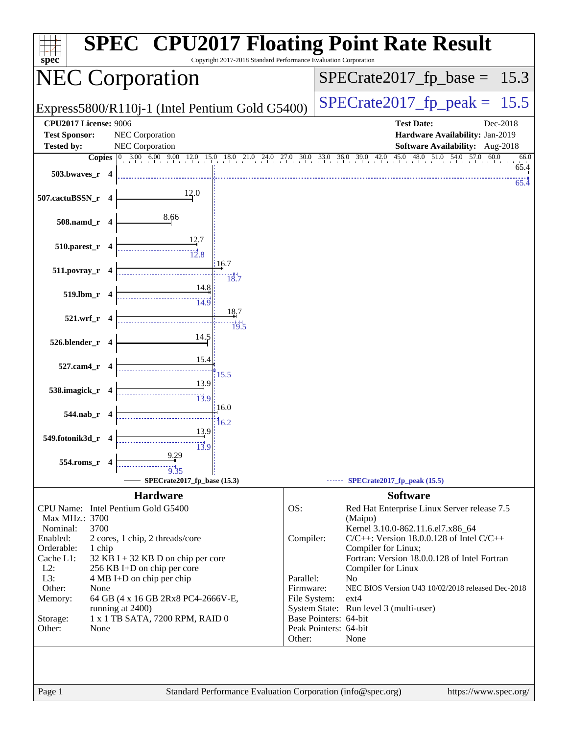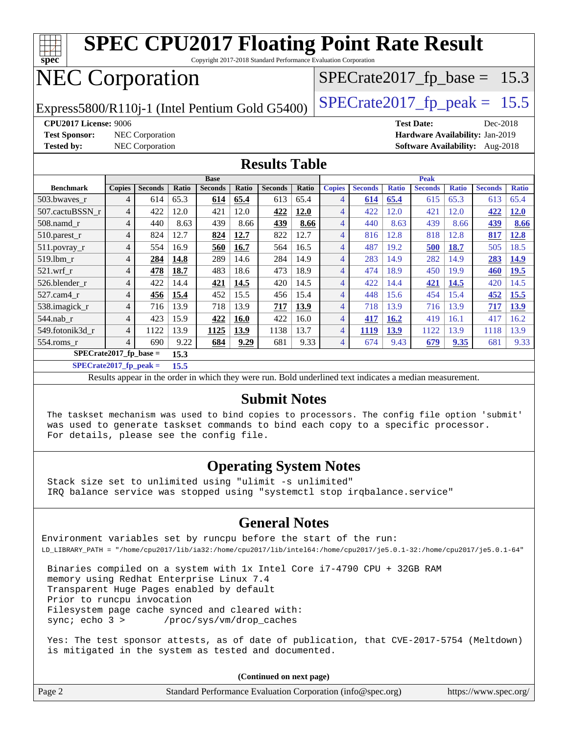

**[SPECrate2017\\_fp\\_peak =](http://www.spec.org/auto/cpu2017/Docs/result-fields.html#SPECrate2017fppeak) 15.5**

Results appear in the [order in which they were run.](http://www.spec.org/auto/cpu2017/Docs/result-fields.html#RunOrder) Bold underlined text [indicates a median measurement.](http://www.spec.org/auto/cpu2017/Docs/result-fields.html#Median)

#### **[Submit Notes](http://www.spec.org/auto/cpu2017/Docs/result-fields.html#SubmitNotes)**

 The taskset mechanism was used to bind copies to processors. The config file option 'submit' was used to generate taskset commands to bind each copy to a specific processor. For details, please see the config file.

#### **[Operating System Notes](http://www.spec.org/auto/cpu2017/Docs/result-fields.html#OperatingSystemNotes)**

 Stack size set to unlimited using "ulimit -s unlimited" IRQ balance service was stopped using "systemctl stop irqbalance.service"

#### **[General Notes](http://www.spec.org/auto/cpu2017/Docs/result-fields.html#GeneralNotes)**

Environment variables set by runcpu before the start of the run: LD\_LIBRARY\_PATH = "/home/cpu2017/lib/ia32:/home/cpu2017/lib/intel64:/home/cpu2017/je5.0.1-32:/home/cpu2017/je5.0.1-64"

 Binaries compiled on a system with 1x Intel Core i7-4790 CPU + 32GB RAM memory using Redhat Enterprise Linux 7.4 Transparent Huge Pages enabled by default Prior to runcpu invocation Filesystem page cache synced and cleared with: sync; echo 3 > /proc/sys/vm/drop\_caches

 Yes: The test sponsor attests, as of date of publication, that CVE-2017-5754 (Meltdown) is mitigated in the system as tested and documented.

**(Continued on next page)**

| Page 2 | Standard Performance Evaluation Corporation (info@spec.org) | https://www.spec.org/ |
|--------|-------------------------------------------------------------|-----------------------|
|--------|-------------------------------------------------------------|-----------------------|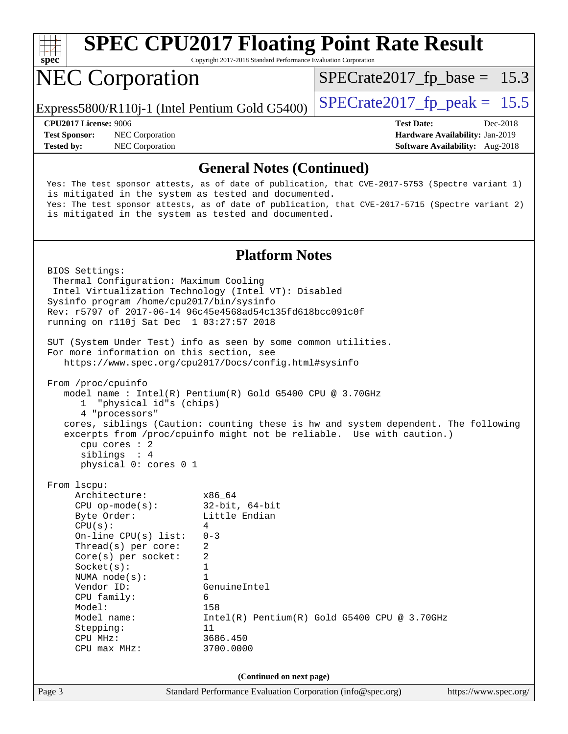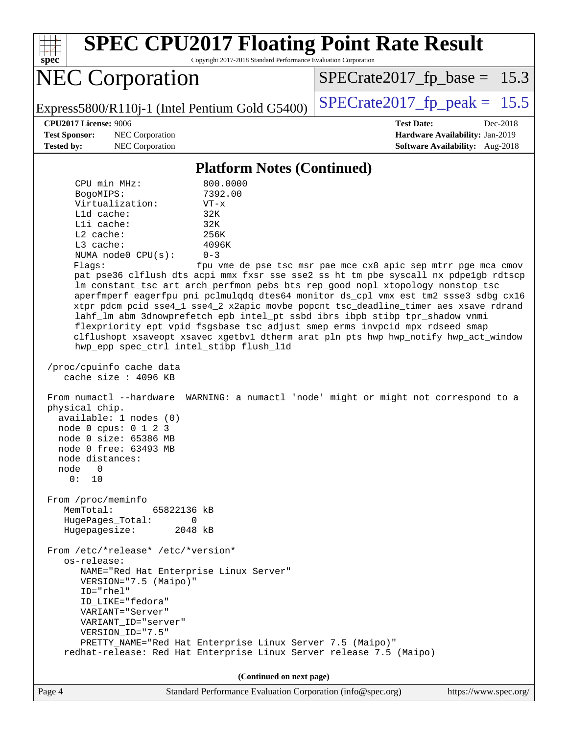| <b>SPEC CPU2017 Floating Point Rate Result</b><br>Copyright 2017-2018 Standard Performance Evaluation Corporation<br>$spec^*$                                                                                                                                                                                                                                                                                                                                                                                                                                                                                                                                                                                                                                                                                                                                                                                                                                                                                                                                                                                                                                                                                                                                                                                                                                                                                                                                                                                                                                                                          |                                                                                                                               |
|--------------------------------------------------------------------------------------------------------------------------------------------------------------------------------------------------------------------------------------------------------------------------------------------------------------------------------------------------------------------------------------------------------------------------------------------------------------------------------------------------------------------------------------------------------------------------------------------------------------------------------------------------------------------------------------------------------------------------------------------------------------------------------------------------------------------------------------------------------------------------------------------------------------------------------------------------------------------------------------------------------------------------------------------------------------------------------------------------------------------------------------------------------------------------------------------------------------------------------------------------------------------------------------------------------------------------------------------------------------------------------------------------------------------------------------------------------------------------------------------------------------------------------------------------------------------------------------------------------|-------------------------------------------------------------------------------------------------------------------------------|
| <b>NEC Corporation</b>                                                                                                                                                                                                                                                                                                                                                                                                                                                                                                                                                                                                                                                                                                                                                                                                                                                                                                                                                                                                                                                                                                                                                                                                                                                                                                                                                                                                                                                                                                                                                                                 | $SPECrate2017_fp\_base = 15.3$                                                                                                |
| Express5800/R110j-1 (Intel Pentium Gold G5400)                                                                                                                                                                                                                                                                                                                                                                                                                                                                                                                                                                                                                                                                                                                                                                                                                                                                                                                                                                                                                                                                                                                                                                                                                                                                                                                                                                                                                                                                                                                                                         | $SPECrate2017_fp\_peak = 15.5$                                                                                                |
| <b>CPU2017 License: 9006</b><br><b>Test Sponsor:</b><br>NEC Corporation<br>NEC Corporation<br><b>Tested by:</b>                                                                                                                                                                                                                                                                                                                                                                                                                                                                                                                                                                                                                                                                                                                                                                                                                                                                                                                                                                                                                                                                                                                                                                                                                                                                                                                                                                                                                                                                                        | <b>Test Date:</b><br>Dec-2018<br>Hardware Availability: Jan-2019<br>Software Availability: Aug-2018                           |
| <b>Platform Notes (Continued)</b>                                                                                                                                                                                                                                                                                                                                                                                                                                                                                                                                                                                                                                                                                                                                                                                                                                                                                                                                                                                                                                                                                                                                                                                                                                                                                                                                                                                                                                                                                                                                                                      |                                                                                                                               |
| CPU min MHz:<br>800.0000<br>7392.00<br>BogoMIPS:<br>Virtualization:<br>$VT - x$<br>$L1d$ cache:<br>32K<br>Lli cache:<br>32K<br>$L2$ cache:<br>256K<br>L3 cache:<br>4096K<br>NUMA node0 CPU(s):<br>$0 - 3$<br>Flags:<br>pat pse36 clflush dts acpi mmx fxsr sse sse2 ss ht tm pbe syscall nx pdpelgb rdtscp<br>Im constant_tsc art arch_perfmon pebs bts rep_good nopl xtopology nonstop_tsc<br>aperfmperf eagerfpu pni pclmulqdq dtes64 monitor ds_cpl vmx est tm2 ssse3 sdbg cx16<br>xtpr pdcm pcid sse4_1 sse4_2 x2apic movbe popcnt tsc_deadline_timer aes xsave rdrand<br>lahf_lm abm 3dnowprefetch epb intel_pt ssbd ibrs ibpb stibp tpr_shadow vnmi<br>flexpriority ept vpid fsgsbase tsc_adjust smep erms invpcid mpx rdseed smap<br>clflushopt xsaveopt xsavec xgetbvl dtherm arat pln pts hwp hwp_notify hwp_act_window<br>hwp_epp spec_ctrl intel_stibp flush_l1d<br>/proc/cpuinfo cache data<br>cache size : 4096 KB<br>From numactl --hardware<br>physical chip.<br>available: 1 nodes (0)<br>node 0 cpus: 0 1 2 3<br>node 0 size: 65386 MB<br>node 0 free: 63493 MB<br>node distances:<br>node<br>0<br>0:<br>10<br>From /proc/meminfo<br>MemTotal:<br>65822136 kB<br>$\Omega$<br>HugePages_Total:<br>Hugepagesize:<br>2048 kB<br>From /etc/*release* /etc/*version*<br>os-release:<br>NAME="Red Hat Enterprise Linux Server"<br>VERSION="7.5 (Maipo)"<br>ID="rhel"<br>ID_LIKE="fedora"<br>VARIANT="Server"<br>VARIANT_ID="server"<br>VERSION_ID="7.5"<br>PRETTY_NAME="Red Hat Enterprise Linux Server 7.5 (Maipo)"<br>redhat-release: Red Hat Enterprise Linux Server release 7.5 (Maipo) | fpu vme de pse tsc msr pae mce cx8 apic sep mtrr pge mca cmov<br>WARNING: a numactl 'node' might or might not correspond to a |
| (Continued on next page)<br>Page 4<br>Standard Performance Evaluation Corporation (info@spec.org)                                                                                                                                                                                                                                                                                                                                                                                                                                                                                                                                                                                                                                                                                                                                                                                                                                                                                                                                                                                                                                                                                                                                                                                                                                                                                                                                                                                                                                                                                                      | https://www.spec.org/                                                                                                         |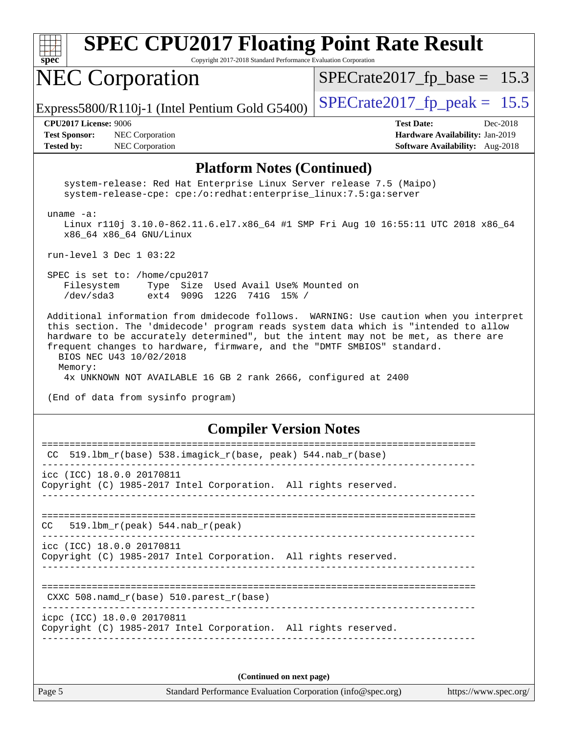|  | spec |  |  |
|--|------|--|--|

Copyright 2017-2018 Standard Performance Evaluation Corporation

## NEC Corporation

 $SPECTate2017_fp\_base = 15.3$ 

Express5800/R110j-1 (Intel Pentium Gold G5400)  $\left|$  [SPECrate2017\\_fp\\_peak =](http://www.spec.org/auto/cpu2017/Docs/result-fields.html#SPECrate2017fppeak) 15.5

**[Test Sponsor:](http://www.spec.org/auto/cpu2017/Docs/result-fields.html#TestSponsor)** NEC Corporation **[Hardware Availability:](http://www.spec.org/auto/cpu2017/Docs/result-fields.html#HardwareAvailability)** Jan-2019 **[Tested by:](http://www.spec.org/auto/cpu2017/Docs/result-fields.html#Testedby)** NEC Corporation **[Software Availability:](http://www.spec.org/auto/cpu2017/Docs/result-fields.html#SoftwareAvailability)** Aug-2018

**[CPU2017 License:](http://www.spec.org/auto/cpu2017/Docs/result-fields.html#CPU2017License)** 9006 **[Test Date:](http://www.spec.org/auto/cpu2017/Docs/result-fields.html#TestDate)** Dec-2018

#### **[Platform Notes \(Continued\)](http://www.spec.org/auto/cpu2017/Docs/result-fields.html#PlatformNotes)**

 system-release: Red Hat Enterprise Linux Server release 7.5 (Maipo) system-release-cpe: cpe:/o:redhat:enterprise\_linux:7.5:ga:server

uname -a:

 Linux r110j 3.10.0-862.11.6.el7.x86\_64 #1 SMP Fri Aug 10 16:55:11 UTC 2018 x86\_64 x86\_64 x86\_64 GNU/Linux

run-level 3 Dec 1 03:22

 SPEC is set to: /home/cpu2017 Filesystem Type Size Used Avail Use% Mounted on /dev/sda3 ext4 909G 122G 741G 15% /

 Additional information from dmidecode follows. WARNING: Use caution when you interpret this section. The 'dmidecode' program reads system data which is "intended to allow hardware to be accurately determined", but the intent may not be met, as there are frequent changes to hardware, firmware, and the "DMTF SMBIOS" standard. BIOS NEC U43 10/02/2018

 Memory: 4x UNKNOWN NOT AVAILABLE 16 GB 2 rank 2666, configured at 2400

(End of data from sysinfo program)

#### **[Compiler Version Notes](http://www.spec.org/auto/cpu2017/Docs/result-fields.html#CompilerVersionNotes)**

| 519.1bm_r(base) 538.imagick_r(base, peak) 544.nab_r(base)<br>CC. |  |  |  |  |  |  |
|------------------------------------------------------------------|--|--|--|--|--|--|
| icc (ICC) 18.0.0 20170811                                        |  |  |  |  |  |  |
| Copyright (C) 1985-2017 Intel Corporation. All rights reserved.  |  |  |  |  |  |  |
|                                                                  |  |  |  |  |  |  |
| $CC = 519.1$ bm $r(\text{peak}) = 544.$ nab $r(\text{peak})$     |  |  |  |  |  |  |
| icc (ICC) 18.0.0 20170811                                        |  |  |  |  |  |  |
| Copyright (C) 1985-2017 Intel Corporation. All rights reserved.  |  |  |  |  |  |  |
|                                                                  |  |  |  |  |  |  |
| CXXC 508. namd $r(base)$ 510. parest $r(base)$                   |  |  |  |  |  |  |
| icpc (ICC) 18.0.0 20170811                                       |  |  |  |  |  |  |
| Copyright (C) 1985-2017 Intel Corporation. All rights reserved.  |  |  |  |  |  |  |
|                                                                  |  |  |  |  |  |  |
|                                                                  |  |  |  |  |  |  |
| (Continued on next page)                                         |  |  |  |  |  |  |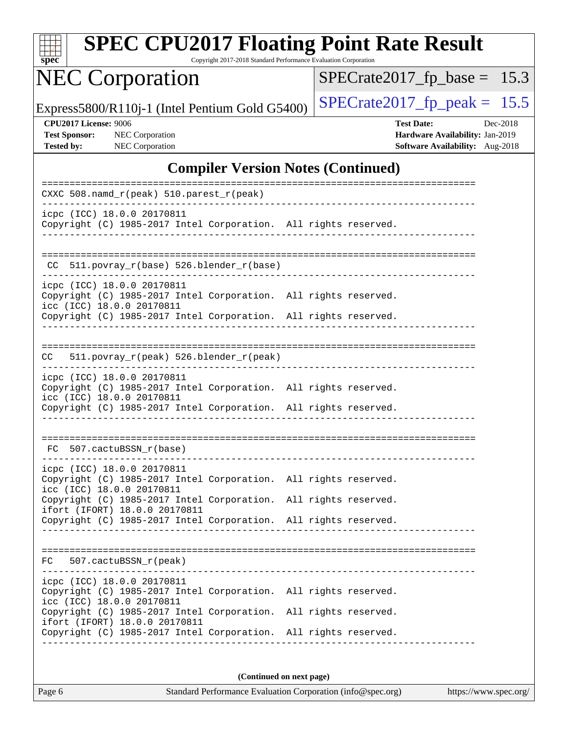| S<br>рe<br>Ľ |  |  |  |  |
|--------------|--|--|--|--|

Copyright 2017-2018 Standard Performance Evaluation Corporation

## NEC Corporation

 $SPECrate2017_fp\_base = 15.3$ 

Express5800/R110j-1 (Intel Pentium Gold G5400)  $\left|$  [SPECrate2017\\_fp\\_peak =](http://www.spec.org/auto/cpu2017/Docs/result-fields.html#SPECrate2017fppeak) 15.5

**[CPU2017 License:](http://www.spec.org/auto/cpu2017/Docs/result-fields.html#CPU2017License)** 9006 **[Test Date:](http://www.spec.org/auto/cpu2017/Docs/result-fields.html#TestDate)** Dec-2018 **[Test Sponsor:](http://www.spec.org/auto/cpu2017/Docs/result-fields.html#TestSponsor)** NEC Corporation **[Hardware Availability:](http://www.spec.org/auto/cpu2017/Docs/result-fields.html#HardwareAvailability)** Jan-2019 **[Tested by:](http://www.spec.org/auto/cpu2017/Docs/result-fields.html#Testedby)** NEC Corporation **[Software Availability:](http://www.spec.org/auto/cpu2017/Docs/result-fields.html#SoftwareAvailability)** Aug-2018

#### **[Compiler Version Notes \(Continued\)](http://www.spec.org/auto/cpu2017/Docs/result-fields.html#CompilerVersionNotes)**

| CXXC 508.namd_r(peak) 510.parest_r(peak)                                                                                                                                                      |
|-----------------------------------------------------------------------------------------------------------------------------------------------------------------------------------------------|
| icpc (ICC) 18.0.0 20170811<br>Copyright (C) 1985-2017 Intel Corporation. All rights reserved.<br>______________________________                                                               |
| CC 511.povray_r(base) 526.blender_r(base)                                                                                                                                                     |
| icpc (ICC) 18.0.0 20170811<br>Copyright (C) 1985-2017 Intel Corporation. All rights reserved.<br>icc (ICC) 18.0.0 20170811<br>Copyright (C) 1985-2017 Intel Corporation. All rights reserved. |
| _____________________________________                                                                                                                                                         |
| 511.povray_r(peak) 526.blender_r(peak)<br>CC.                                                                                                                                                 |
| icpc (ICC) 18.0.0 20170811<br>Copyright (C) 1985-2017 Intel Corporation. All rights reserved.<br>icc (ICC) 18.0.0 20170811                                                                    |
| Copyright (C) 1985-2017 Intel Corporation. All rights reserved.                                                                                                                               |
| FC 507.cactuBSSN r(base)                                                                                                                                                                      |
| icpc (ICC) 18.0.0 20170811<br>Copyright (C) 1985-2017 Intel Corporation. All rights reserved.<br>icc (ICC) 18.0.0 20170811                                                                    |
| Copyright (C) 1985-2017 Intel Corporation. All rights reserved.<br>ifort (IFORT) 18.0.0 20170811                                                                                              |
| Copyright (C) 1985-2017 Intel Corporation. All rights reserved.                                                                                                                               |
| FC 507.cactuBSSN_r(peak)                                                                                                                                                                      |
| icpc (ICC) 18.0.0 20170811<br>Copyright (C) 1985-2017 Intel Corporation. All rights reserved.<br>icc (ICC) 18.0.0 20170811                                                                    |
| Copyright (C) 1985-2017 Intel Corporation. All rights reserved.<br>ifort (IFORT) 18.0.0 20170811                                                                                              |
| Copyright (C) 1985-2017 Intel Corporation. All rights reserved.                                                                                                                               |
|                                                                                                                                                                                               |

**(Continued on next page)**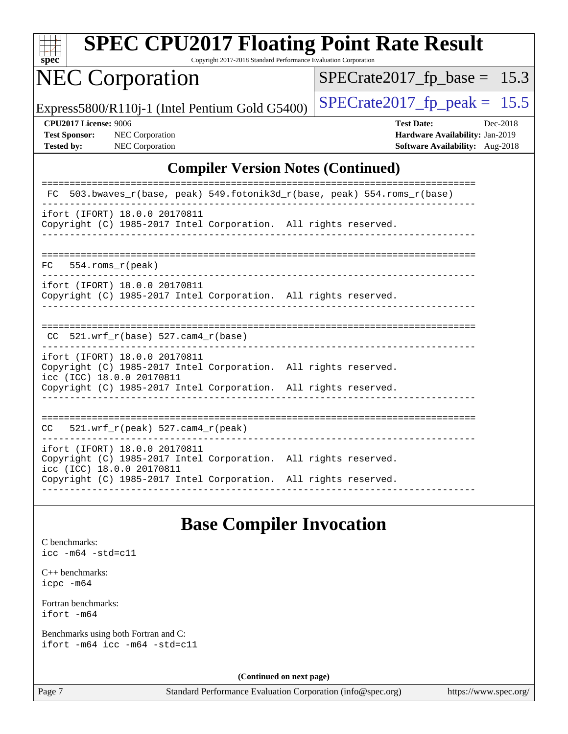

Copyright 2017-2018 Standard Performance Evaluation Corporation

## NEC Corporation

 $SPECrate2017_fp\_base = 15.3$ 

Express5800/R110j-1 (Intel Pentium Gold G5400)  $\left|$  [SPECrate2017\\_fp\\_peak =](http://www.spec.org/auto/cpu2017/Docs/result-fields.html#SPECrate2017fppeak) 15.5

**[CPU2017 License:](http://www.spec.org/auto/cpu2017/Docs/result-fields.html#CPU2017License)** 9006 **[Test Date:](http://www.spec.org/auto/cpu2017/Docs/result-fields.html#TestDate)** Dec-2018 **[Test Sponsor:](http://www.spec.org/auto/cpu2017/Docs/result-fields.html#TestSponsor)** NEC Corporation **[Hardware Availability:](http://www.spec.org/auto/cpu2017/Docs/result-fields.html#HardwareAvailability)** Jan-2019 **[Tested by:](http://www.spec.org/auto/cpu2017/Docs/result-fields.html#Testedby)** NEC Corporation **[Software Availability:](http://www.spec.org/auto/cpu2017/Docs/result-fields.html#SoftwareAvailability)** Aug-2018

#### **[Compiler Version Notes \(Continued\)](http://www.spec.org/auto/cpu2017/Docs/result-fields.html#CompilerVersionNotes)**

#### **[Base Compiler Invocation](http://www.spec.org/auto/cpu2017/Docs/result-fields.html#BaseCompilerInvocation)**

[C benchmarks](http://www.spec.org/auto/cpu2017/Docs/result-fields.html#Cbenchmarks): [icc -m64 -std=c11](http://www.spec.org/cpu2017/results/res2018q4/cpu2017-20181210-10081.flags.html#user_CCbase_intel_icc_64bit_c11_33ee0cdaae7deeeab2a9725423ba97205ce30f63b9926c2519791662299b76a0318f32ddfffdc46587804de3178b4f9328c46fa7c2b0cd779d7a61945c91cd35)

[C++ benchmarks:](http://www.spec.org/auto/cpu2017/Docs/result-fields.html#CXXbenchmarks) [icpc -m64](http://www.spec.org/cpu2017/results/res2018q4/cpu2017-20181210-10081.flags.html#user_CXXbase_intel_icpc_64bit_4ecb2543ae3f1412ef961e0650ca070fec7b7afdcd6ed48761b84423119d1bf6bdf5cad15b44d48e7256388bc77273b966e5eb805aefd121eb22e9299b2ec9d9)

[Fortran benchmarks](http://www.spec.org/auto/cpu2017/Docs/result-fields.html#Fortranbenchmarks): [ifort -m64](http://www.spec.org/cpu2017/results/res2018q4/cpu2017-20181210-10081.flags.html#user_FCbase_intel_ifort_64bit_24f2bb282fbaeffd6157abe4f878425411749daecae9a33200eee2bee2fe76f3b89351d69a8130dd5949958ce389cf37ff59a95e7a40d588e8d3a57e0c3fd751)

[Benchmarks using both Fortran and C](http://www.spec.org/auto/cpu2017/Docs/result-fields.html#BenchmarksusingbothFortranandC): [ifort -m64](http://www.spec.org/cpu2017/results/res2018q4/cpu2017-20181210-10081.flags.html#user_CC_FCbase_intel_ifort_64bit_24f2bb282fbaeffd6157abe4f878425411749daecae9a33200eee2bee2fe76f3b89351d69a8130dd5949958ce389cf37ff59a95e7a40d588e8d3a57e0c3fd751) [icc -m64 -std=c11](http://www.spec.org/cpu2017/results/res2018q4/cpu2017-20181210-10081.flags.html#user_CC_FCbase_intel_icc_64bit_c11_33ee0cdaae7deeeab2a9725423ba97205ce30f63b9926c2519791662299b76a0318f32ddfffdc46587804de3178b4f9328c46fa7c2b0cd779d7a61945c91cd35)

**(Continued on next page)**

Page 7 Standard Performance Evaluation Corporation [\(info@spec.org\)](mailto:info@spec.org) <https://www.spec.org/>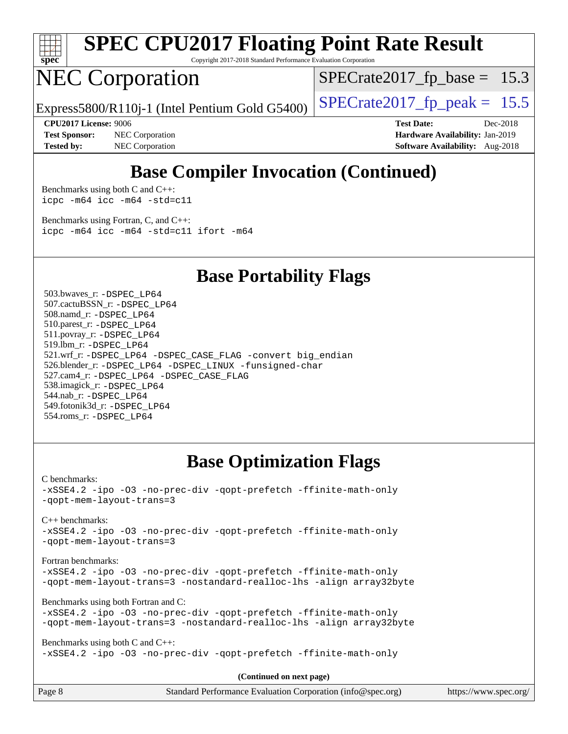

Copyright 2017-2018 Standard Performance Evaluation Corporation

## NEC Corporation

 $SPECTate2017_fp\_base = 15.3$ 

Express5800/R110j-1 (Intel Pentium Gold G5400)  $\vert$  [SPECrate2017\\_fp\\_peak =](http://www.spec.org/auto/cpu2017/Docs/result-fields.html#SPECrate2017fppeak) 15.5

**[Test Sponsor:](http://www.spec.org/auto/cpu2017/Docs/result-fields.html#TestSponsor)** NEC Corporation **[Hardware Availability:](http://www.spec.org/auto/cpu2017/Docs/result-fields.html#HardwareAvailability)** Jan-2019 **[Tested by:](http://www.spec.org/auto/cpu2017/Docs/result-fields.html#Testedby)** NEC Corporation **[Software Availability:](http://www.spec.org/auto/cpu2017/Docs/result-fields.html#SoftwareAvailability)** Aug-2018

**[CPU2017 License:](http://www.spec.org/auto/cpu2017/Docs/result-fields.html#CPU2017License)** 9006 **[Test Date:](http://www.spec.org/auto/cpu2017/Docs/result-fields.html#TestDate)** Dec-2018

## **[Base Compiler Invocation \(Continued\)](http://www.spec.org/auto/cpu2017/Docs/result-fields.html#BaseCompilerInvocation)**

[Benchmarks using both C and C++](http://www.spec.org/auto/cpu2017/Docs/result-fields.html#BenchmarksusingbothCandCXX): [icpc -m64](http://www.spec.org/cpu2017/results/res2018q4/cpu2017-20181210-10081.flags.html#user_CC_CXXbase_intel_icpc_64bit_4ecb2543ae3f1412ef961e0650ca070fec7b7afdcd6ed48761b84423119d1bf6bdf5cad15b44d48e7256388bc77273b966e5eb805aefd121eb22e9299b2ec9d9) [icc -m64 -std=c11](http://www.spec.org/cpu2017/results/res2018q4/cpu2017-20181210-10081.flags.html#user_CC_CXXbase_intel_icc_64bit_c11_33ee0cdaae7deeeab2a9725423ba97205ce30f63b9926c2519791662299b76a0318f32ddfffdc46587804de3178b4f9328c46fa7c2b0cd779d7a61945c91cd35)

[Benchmarks using Fortran, C, and C++:](http://www.spec.org/auto/cpu2017/Docs/result-fields.html#BenchmarksusingFortranCandCXX) [icpc -m64](http://www.spec.org/cpu2017/results/res2018q4/cpu2017-20181210-10081.flags.html#user_CC_CXX_FCbase_intel_icpc_64bit_4ecb2543ae3f1412ef961e0650ca070fec7b7afdcd6ed48761b84423119d1bf6bdf5cad15b44d48e7256388bc77273b966e5eb805aefd121eb22e9299b2ec9d9) [icc -m64 -std=c11](http://www.spec.org/cpu2017/results/res2018q4/cpu2017-20181210-10081.flags.html#user_CC_CXX_FCbase_intel_icc_64bit_c11_33ee0cdaae7deeeab2a9725423ba97205ce30f63b9926c2519791662299b76a0318f32ddfffdc46587804de3178b4f9328c46fa7c2b0cd779d7a61945c91cd35) [ifort -m64](http://www.spec.org/cpu2017/results/res2018q4/cpu2017-20181210-10081.flags.html#user_CC_CXX_FCbase_intel_ifort_64bit_24f2bb282fbaeffd6157abe4f878425411749daecae9a33200eee2bee2fe76f3b89351d69a8130dd5949958ce389cf37ff59a95e7a40d588e8d3a57e0c3fd751)

#### **[Base Portability Flags](http://www.spec.org/auto/cpu2017/Docs/result-fields.html#BasePortabilityFlags)**

 503.bwaves\_r: [-DSPEC\\_LP64](http://www.spec.org/cpu2017/results/res2018q4/cpu2017-20181210-10081.flags.html#suite_basePORTABILITY503_bwaves_r_DSPEC_LP64) 507.cactuBSSN\_r: [-DSPEC\\_LP64](http://www.spec.org/cpu2017/results/res2018q4/cpu2017-20181210-10081.flags.html#suite_basePORTABILITY507_cactuBSSN_r_DSPEC_LP64) 508.namd\_r: [-DSPEC\\_LP64](http://www.spec.org/cpu2017/results/res2018q4/cpu2017-20181210-10081.flags.html#suite_basePORTABILITY508_namd_r_DSPEC_LP64) 510.parest\_r: [-DSPEC\\_LP64](http://www.spec.org/cpu2017/results/res2018q4/cpu2017-20181210-10081.flags.html#suite_basePORTABILITY510_parest_r_DSPEC_LP64) 511.povray\_r: [-DSPEC\\_LP64](http://www.spec.org/cpu2017/results/res2018q4/cpu2017-20181210-10081.flags.html#suite_basePORTABILITY511_povray_r_DSPEC_LP64) 519.lbm\_r: [-DSPEC\\_LP64](http://www.spec.org/cpu2017/results/res2018q4/cpu2017-20181210-10081.flags.html#suite_basePORTABILITY519_lbm_r_DSPEC_LP64) 521.wrf\_r: [-DSPEC\\_LP64](http://www.spec.org/cpu2017/results/res2018q4/cpu2017-20181210-10081.flags.html#suite_basePORTABILITY521_wrf_r_DSPEC_LP64) [-DSPEC\\_CASE\\_FLAG](http://www.spec.org/cpu2017/results/res2018q4/cpu2017-20181210-10081.flags.html#b521.wrf_r_baseCPORTABILITY_DSPEC_CASE_FLAG) [-convert big\\_endian](http://www.spec.org/cpu2017/results/res2018q4/cpu2017-20181210-10081.flags.html#user_baseFPORTABILITY521_wrf_r_convert_big_endian_c3194028bc08c63ac5d04de18c48ce6d347e4e562e8892b8bdbdc0214820426deb8554edfa529a3fb25a586e65a3d812c835984020483e7e73212c4d31a38223) 526.blender\_r: [-DSPEC\\_LP64](http://www.spec.org/cpu2017/results/res2018q4/cpu2017-20181210-10081.flags.html#suite_basePORTABILITY526_blender_r_DSPEC_LP64) [-DSPEC\\_LINUX](http://www.spec.org/cpu2017/results/res2018q4/cpu2017-20181210-10081.flags.html#b526.blender_r_baseCPORTABILITY_DSPEC_LINUX) [-funsigned-char](http://www.spec.org/cpu2017/results/res2018q4/cpu2017-20181210-10081.flags.html#user_baseCPORTABILITY526_blender_r_force_uchar_40c60f00ab013830e2dd6774aeded3ff59883ba5a1fc5fc14077f794d777847726e2a5858cbc7672e36e1b067e7e5c1d9a74f7176df07886a243d7cc18edfe67) 527.cam4\_r: [-DSPEC\\_LP64](http://www.spec.org/cpu2017/results/res2018q4/cpu2017-20181210-10081.flags.html#suite_basePORTABILITY527_cam4_r_DSPEC_LP64) [-DSPEC\\_CASE\\_FLAG](http://www.spec.org/cpu2017/results/res2018q4/cpu2017-20181210-10081.flags.html#b527.cam4_r_baseCPORTABILITY_DSPEC_CASE_FLAG) 538.imagick\_r: [-DSPEC\\_LP64](http://www.spec.org/cpu2017/results/res2018q4/cpu2017-20181210-10081.flags.html#suite_basePORTABILITY538_imagick_r_DSPEC_LP64) 544.nab\_r: [-DSPEC\\_LP64](http://www.spec.org/cpu2017/results/res2018q4/cpu2017-20181210-10081.flags.html#suite_basePORTABILITY544_nab_r_DSPEC_LP64) 549.fotonik3d\_r: [-DSPEC\\_LP64](http://www.spec.org/cpu2017/results/res2018q4/cpu2017-20181210-10081.flags.html#suite_basePORTABILITY549_fotonik3d_r_DSPEC_LP64) 554.roms\_r: [-DSPEC\\_LP64](http://www.spec.org/cpu2017/results/res2018q4/cpu2017-20181210-10081.flags.html#suite_basePORTABILITY554_roms_r_DSPEC_LP64)

### **[Base Optimization Flags](http://www.spec.org/auto/cpu2017/Docs/result-fields.html#BaseOptimizationFlags)**

#### [C benchmarks](http://www.spec.org/auto/cpu2017/Docs/result-fields.html#Cbenchmarks):

[-xSSE4.2](http://www.spec.org/cpu2017/results/res2018q4/cpu2017-20181210-10081.flags.html#user_CCbase_f-xSSE42_d85b2ac37ddc90662d11f1a4a8dc959d40ee6b8c1b95cdec45efdeb6594938334ecec49699063ec518cad6ffb0ae5f89c6821e9beeb549020603d53f71a41bf5) [-ipo](http://www.spec.org/cpu2017/results/res2018q4/cpu2017-20181210-10081.flags.html#user_CCbase_f-ipo) [-O3](http://www.spec.org/cpu2017/results/res2018q4/cpu2017-20181210-10081.flags.html#user_CCbase_f-O3) [-no-prec-div](http://www.spec.org/cpu2017/results/res2018q4/cpu2017-20181210-10081.flags.html#user_CCbase_f-no-prec-div) [-qopt-prefetch](http://www.spec.org/cpu2017/results/res2018q4/cpu2017-20181210-10081.flags.html#user_CCbase_f-qopt-prefetch) [-ffinite-math-only](http://www.spec.org/cpu2017/results/res2018q4/cpu2017-20181210-10081.flags.html#user_CCbase_f_finite_math_only_cb91587bd2077682c4b38af759c288ed7c732db004271a9512da14a4f8007909a5f1427ecbf1a0fb78ff2a814402c6114ac565ca162485bbcae155b5e4258871) [-qopt-mem-layout-trans=3](http://www.spec.org/cpu2017/results/res2018q4/cpu2017-20181210-10081.flags.html#user_CCbase_f-qopt-mem-layout-trans_de80db37974c74b1f0e20d883f0b675c88c3b01e9d123adea9b28688d64333345fb62bc4a798493513fdb68f60282f9a726aa07f478b2f7113531aecce732043)

#### [C++ benchmarks:](http://www.spec.org/auto/cpu2017/Docs/result-fields.html#CXXbenchmarks)

[-xSSE4.2](http://www.spec.org/cpu2017/results/res2018q4/cpu2017-20181210-10081.flags.html#user_CXXbase_f-xSSE42_d85b2ac37ddc90662d11f1a4a8dc959d40ee6b8c1b95cdec45efdeb6594938334ecec49699063ec518cad6ffb0ae5f89c6821e9beeb549020603d53f71a41bf5) [-ipo](http://www.spec.org/cpu2017/results/res2018q4/cpu2017-20181210-10081.flags.html#user_CXXbase_f-ipo) [-O3](http://www.spec.org/cpu2017/results/res2018q4/cpu2017-20181210-10081.flags.html#user_CXXbase_f-O3) [-no-prec-div](http://www.spec.org/cpu2017/results/res2018q4/cpu2017-20181210-10081.flags.html#user_CXXbase_f-no-prec-div) [-qopt-prefetch](http://www.spec.org/cpu2017/results/res2018q4/cpu2017-20181210-10081.flags.html#user_CXXbase_f-qopt-prefetch) [-ffinite-math-only](http://www.spec.org/cpu2017/results/res2018q4/cpu2017-20181210-10081.flags.html#user_CXXbase_f_finite_math_only_cb91587bd2077682c4b38af759c288ed7c732db004271a9512da14a4f8007909a5f1427ecbf1a0fb78ff2a814402c6114ac565ca162485bbcae155b5e4258871) [-qopt-mem-layout-trans=3](http://www.spec.org/cpu2017/results/res2018q4/cpu2017-20181210-10081.flags.html#user_CXXbase_f-qopt-mem-layout-trans_de80db37974c74b1f0e20d883f0b675c88c3b01e9d123adea9b28688d64333345fb62bc4a798493513fdb68f60282f9a726aa07f478b2f7113531aecce732043)

#### [Fortran benchmarks](http://www.spec.org/auto/cpu2017/Docs/result-fields.html#Fortranbenchmarks):

[-xSSE4.2](http://www.spec.org/cpu2017/results/res2018q4/cpu2017-20181210-10081.flags.html#user_FCbase_f-xSSE42_d85b2ac37ddc90662d11f1a4a8dc959d40ee6b8c1b95cdec45efdeb6594938334ecec49699063ec518cad6ffb0ae5f89c6821e9beeb549020603d53f71a41bf5) [-ipo](http://www.spec.org/cpu2017/results/res2018q4/cpu2017-20181210-10081.flags.html#user_FCbase_f-ipo) [-O3](http://www.spec.org/cpu2017/results/res2018q4/cpu2017-20181210-10081.flags.html#user_FCbase_f-O3) [-no-prec-div](http://www.spec.org/cpu2017/results/res2018q4/cpu2017-20181210-10081.flags.html#user_FCbase_f-no-prec-div) [-qopt-prefetch](http://www.spec.org/cpu2017/results/res2018q4/cpu2017-20181210-10081.flags.html#user_FCbase_f-qopt-prefetch) [-ffinite-math-only](http://www.spec.org/cpu2017/results/res2018q4/cpu2017-20181210-10081.flags.html#user_FCbase_f_finite_math_only_cb91587bd2077682c4b38af759c288ed7c732db004271a9512da14a4f8007909a5f1427ecbf1a0fb78ff2a814402c6114ac565ca162485bbcae155b5e4258871) [-qopt-mem-layout-trans=3](http://www.spec.org/cpu2017/results/res2018q4/cpu2017-20181210-10081.flags.html#user_FCbase_f-qopt-mem-layout-trans_de80db37974c74b1f0e20d883f0b675c88c3b01e9d123adea9b28688d64333345fb62bc4a798493513fdb68f60282f9a726aa07f478b2f7113531aecce732043) [-nostandard-realloc-lhs](http://www.spec.org/cpu2017/results/res2018q4/cpu2017-20181210-10081.flags.html#user_FCbase_f_2003_std_realloc_82b4557e90729c0f113870c07e44d33d6f5a304b4f63d4c15d2d0f1fab99f5daaed73bdb9275d9ae411527f28b936061aa8b9c8f2d63842963b95c9dd6426b8a) [-align array32byte](http://www.spec.org/cpu2017/results/res2018q4/cpu2017-20181210-10081.flags.html#user_FCbase_align_array32byte_b982fe038af199962ba9a80c053b8342c548c85b40b8e86eb3cc33dee0d7986a4af373ac2d51c3f7cf710a18d62fdce2948f201cd044323541f22fc0fffc51b6)

#### [Benchmarks using both Fortran and C](http://www.spec.org/auto/cpu2017/Docs/result-fields.html#BenchmarksusingbothFortranandC):

[-xSSE4.2](http://www.spec.org/cpu2017/results/res2018q4/cpu2017-20181210-10081.flags.html#user_CC_FCbase_f-xSSE42_d85b2ac37ddc90662d11f1a4a8dc959d40ee6b8c1b95cdec45efdeb6594938334ecec49699063ec518cad6ffb0ae5f89c6821e9beeb549020603d53f71a41bf5) [-ipo](http://www.spec.org/cpu2017/results/res2018q4/cpu2017-20181210-10081.flags.html#user_CC_FCbase_f-ipo) [-O3](http://www.spec.org/cpu2017/results/res2018q4/cpu2017-20181210-10081.flags.html#user_CC_FCbase_f-O3) [-no-prec-div](http://www.spec.org/cpu2017/results/res2018q4/cpu2017-20181210-10081.flags.html#user_CC_FCbase_f-no-prec-div) [-qopt-prefetch](http://www.spec.org/cpu2017/results/res2018q4/cpu2017-20181210-10081.flags.html#user_CC_FCbase_f-qopt-prefetch) [-ffinite-math-only](http://www.spec.org/cpu2017/results/res2018q4/cpu2017-20181210-10081.flags.html#user_CC_FCbase_f_finite_math_only_cb91587bd2077682c4b38af759c288ed7c732db004271a9512da14a4f8007909a5f1427ecbf1a0fb78ff2a814402c6114ac565ca162485bbcae155b5e4258871) [-qopt-mem-layout-trans=3](http://www.spec.org/cpu2017/results/res2018q4/cpu2017-20181210-10081.flags.html#user_CC_FCbase_f-qopt-mem-layout-trans_de80db37974c74b1f0e20d883f0b675c88c3b01e9d123adea9b28688d64333345fb62bc4a798493513fdb68f60282f9a726aa07f478b2f7113531aecce732043) [-nostandard-realloc-lhs](http://www.spec.org/cpu2017/results/res2018q4/cpu2017-20181210-10081.flags.html#user_CC_FCbase_f_2003_std_realloc_82b4557e90729c0f113870c07e44d33d6f5a304b4f63d4c15d2d0f1fab99f5daaed73bdb9275d9ae411527f28b936061aa8b9c8f2d63842963b95c9dd6426b8a) [-align array32byte](http://www.spec.org/cpu2017/results/res2018q4/cpu2017-20181210-10081.flags.html#user_CC_FCbase_align_array32byte_b982fe038af199962ba9a80c053b8342c548c85b40b8e86eb3cc33dee0d7986a4af373ac2d51c3f7cf710a18d62fdce2948f201cd044323541f22fc0fffc51b6)

[Benchmarks using both C and C++](http://www.spec.org/auto/cpu2017/Docs/result-fields.html#BenchmarksusingbothCandCXX): [-xSSE4.2](http://www.spec.org/cpu2017/results/res2018q4/cpu2017-20181210-10081.flags.html#user_CC_CXXbase_f-xSSE42_d85b2ac37ddc90662d11f1a4a8dc959d40ee6b8c1b95cdec45efdeb6594938334ecec49699063ec518cad6ffb0ae5f89c6821e9beeb549020603d53f71a41bf5) [-ipo](http://www.spec.org/cpu2017/results/res2018q4/cpu2017-20181210-10081.flags.html#user_CC_CXXbase_f-ipo) [-O3](http://www.spec.org/cpu2017/results/res2018q4/cpu2017-20181210-10081.flags.html#user_CC_CXXbase_f-O3) [-no-prec-div](http://www.spec.org/cpu2017/results/res2018q4/cpu2017-20181210-10081.flags.html#user_CC_CXXbase_f-no-prec-div) [-qopt-prefetch](http://www.spec.org/cpu2017/results/res2018q4/cpu2017-20181210-10081.flags.html#user_CC_CXXbase_f-qopt-prefetch) [-ffinite-math-only](http://www.spec.org/cpu2017/results/res2018q4/cpu2017-20181210-10081.flags.html#user_CC_CXXbase_f_finite_math_only_cb91587bd2077682c4b38af759c288ed7c732db004271a9512da14a4f8007909a5f1427ecbf1a0fb78ff2a814402c6114ac565ca162485bbcae155b5e4258871)

**(Continued on next page)**

| Page 8 | Standard Performance Evaluation Corporation (info@spec.org) | https://www.spec.org/ |
|--------|-------------------------------------------------------------|-----------------------|
|        |                                                             |                       |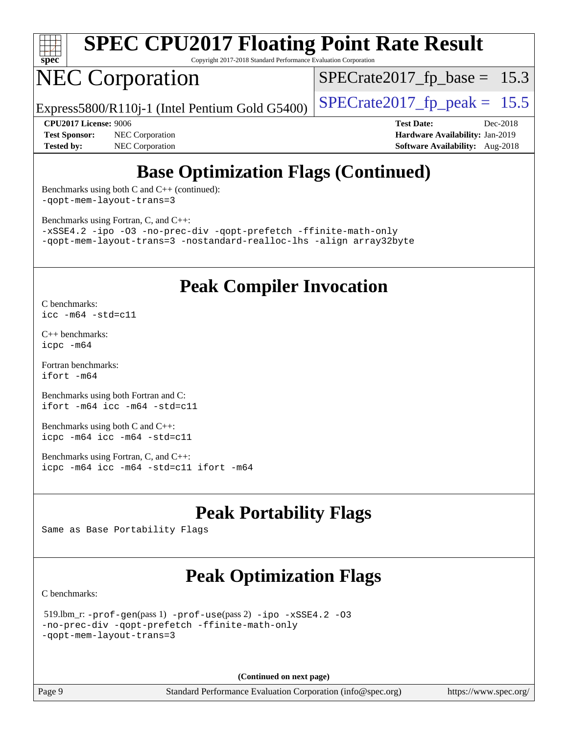

Copyright 2017-2018 Standard Performance Evaluation Corporation

## NEC Corporation

 $SPECrate2017_fp\_base = 15.3$ 

Express5800/R110j-1 (Intel Pentium Gold G5400)  $\vert$  [SPECrate2017\\_fp\\_peak =](http://www.spec.org/auto/cpu2017/Docs/result-fields.html#SPECrate2017fppeak) 15.5

**[Test Sponsor:](http://www.spec.org/auto/cpu2017/Docs/result-fields.html#TestSponsor)** NEC Corporation **[Hardware Availability:](http://www.spec.org/auto/cpu2017/Docs/result-fields.html#HardwareAvailability)** Jan-2019 **[Tested by:](http://www.spec.org/auto/cpu2017/Docs/result-fields.html#Testedby)** NEC Corporation **[Software Availability:](http://www.spec.org/auto/cpu2017/Docs/result-fields.html#SoftwareAvailability)** Aug-2018

**[CPU2017 License:](http://www.spec.org/auto/cpu2017/Docs/result-fields.html#CPU2017License)** 9006 **[Test Date:](http://www.spec.org/auto/cpu2017/Docs/result-fields.html#TestDate)** Dec-2018

## **[Base Optimization Flags \(Continued\)](http://www.spec.org/auto/cpu2017/Docs/result-fields.html#BaseOptimizationFlags)**

[Benchmarks using both C and C++](http://www.spec.org/auto/cpu2017/Docs/result-fields.html#BenchmarksusingbothCandCXX) (continued): [-qopt-mem-layout-trans=3](http://www.spec.org/cpu2017/results/res2018q4/cpu2017-20181210-10081.flags.html#user_CC_CXXbase_f-qopt-mem-layout-trans_de80db37974c74b1f0e20d883f0b675c88c3b01e9d123adea9b28688d64333345fb62bc4a798493513fdb68f60282f9a726aa07f478b2f7113531aecce732043)

[Benchmarks using Fortran, C, and C++:](http://www.spec.org/auto/cpu2017/Docs/result-fields.html#BenchmarksusingFortranCandCXX)

[-xSSE4.2](http://www.spec.org/cpu2017/results/res2018q4/cpu2017-20181210-10081.flags.html#user_CC_CXX_FCbase_f-xSSE42_d85b2ac37ddc90662d11f1a4a8dc959d40ee6b8c1b95cdec45efdeb6594938334ecec49699063ec518cad6ffb0ae5f89c6821e9beeb549020603d53f71a41bf5) [-ipo](http://www.spec.org/cpu2017/results/res2018q4/cpu2017-20181210-10081.flags.html#user_CC_CXX_FCbase_f-ipo) [-O3](http://www.spec.org/cpu2017/results/res2018q4/cpu2017-20181210-10081.flags.html#user_CC_CXX_FCbase_f-O3) [-no-prec-div](http://www.spec.org/cpu2017/results/res2018q4/cpu2017-20181210-10081.flags.html#user_CC_CXX_FCbase_f-no-prec-div) [-qopt-prefetch](http://www.spec.org/cpu2017/results/res2018q4/cpu2017-20181210-10081.flags.html#user_CC_CXX_FCbase_f-qopt-prefetch) [-ffinite-math-only](http://www.spec.org/cpu2017/results/res2018q4/cpu2017-20181210-10081.flags.html#user_CC_CXX_FCbase_f_finite_math_only_cb91587bd2077682c4b38af759c288ed7c732db004271a9512da14a4f8007909a5f1427ecbf1a0fb78ff2a814402c6114ac565ca162485bbcae155b5e4258871) [-qopt-mem-layout-trans=3](http://www.spec.org/cpu2017/results/res2018q4/cpu2017-20181210-10081.flags.html#user_CC_CXX_FCbase_f-qopt-mem-layout-trans_de80db37974c74b1f0e20d883f0b675c88c3b01e9d123adea9b28688d64333345fb62bc4a798493513fdb68f60282f9a726aa07f478b2f7113531aecce732043) [-nostandard-realloc-lhs](http://www.spec.org/cpu2017/results/res2018q4/cpu2017-20181210-10081.flags.html#user_CC_CXX_FCbase_f_2003_std_realloc_82b4557e90729c0f113870c07e44d33d6f5a304b4f63d4c15d2d0f1fab99f5daaed73bdb9275d9ae411527f28b936061aa8b9c8f2d63842963b95c9dd6426b8a) [-align array32byte](http://www.spec.org/cpu2017/results/res2018q4/cpu2017-20181210-10081.flags.html#user_CC_CXX_FCbase_align_array32byte_b982fe038af199962ba9a80c053b8342c548c85b40b8e86eb3cc33dee0d7986a4af373ac2d51c3f7cf710a18d62fdce2948f201cd044323541f22fc0fffc51b6)

### **[Peak Compiler Invocation](http://www.spec.org/auto/cpu2017/Docs/result-fields.html#PeakCompilerInvocation)**

[C benchmarks](http://www.spec.org/auto/cpu2017/Docs/result-fields.html#Cbenchmarks): [icc -m64 -std=c11](http://www.spec.org/cpu2017/results/res2018q4/cpu2017-20181210-10081.flags.html#user_CCpeak_intel_icc_64bit_c11_33ee0cdaae7deeeab2a9725423ba97205ce30f63b9926c2519791662299b76a0318f32ddfffdc46587804de3178b4f9328c46fa7c2b0cd779d7a61945c91cd35)

[C++ benchmarks:](http://www.spec.org/auto/cpu2017/Docs/result-fields.html#CXXbenchmarks) [icpc -m64](http://www.spec.org/cpu2017/results/res2018q4/cpu2017-20181210-10081.flags.html#user_CXXpeak_intel_icpc_64bit_4ecb2543ae3f1412ef961e0650ca070fec7b7afdcd6ed48761b84423119d1bf6bdf5cad15b44d48e7256388bc77273b966e5eb805aefd121eb22e9299b2ec9d9)

[Fortran benchmarks](http://www.spec.org/auto/cpu2017/Docs/result-fields.html#Fortranbenchmarks): [ifort -m64](http://www.spec.org/cpu2017/results/res2018q4/cpu2017-20181210-10081.flags.html#user_FCpeak_intel_ifort_64bit_24f2bb282fbaeffd6157abe4f878425411749daecae9a33200eee2bee2fe76f3b89351d69a8130dd5949958ce389cf37ff59a95e7a40d588e8d3a57e0c3fd751)

[Benchmarks using both Fortran and C](http://www.spec.org/auto/cpu2017/Docs/result-fields.html#BenchmarksusingbothFortranandC): [ifort -m64](http://www.spec.org/cpu2017/results/res2018q4/cpu2017-20181210-10081.flags.html#user_CC_FCpeak_intel_ifort_64bit_24f2bb282fbaeffd6157abe4f878425411749daecae9a33200eee2bee2fe76f3b89351d69a8130dd5949958ce389cf37ff59a95e7a40d588e8d3a57e0c3fd751) [icc -m64 -std=c11](http://www.spec.org/cpu2017/results/res2018q4/cpu2017-20181210-10081.flags.html#user_CC_FCpeak_intel_icc_64bit_c11_33ee0cdaae7deeeab2a9725423ba97205ce30f63b9926c2519791662299b76a0318f32ddfffdc46587804de3178b4f9328c46fa7c2b0cd779d7a61945c91cd35)

[Benchmarks using both C and C++](http://www.spec.org/auto/cpu2017/Docs/result-fields.html#BenchmarksusingbothCandCXX): [icpc -m64](http://www.spec.org/cpu2017/results/res2018q4/cpu2017-20181210-10081.flags.html#user_CC_CXXpeak_intel_icpc_64bit_4ecb2543ae3f1412ef961e0650ca070fec7b7afdcd6ed48761b84423119d1bf6bdf5cad15b44d48e7256388bc77273b966e5eb805aefd121eb22e9299b2ec9d9) [icc -m64 -std=c11](http://www.spec.org/cpu2017/results/res2018q4/cpu2017-20181210-10081.flags.html#user_CC_CXXpeak_intel_icc_64bit_c11_33ee0cdaae7deeeab2a9725423ba97205ce30f63b9926c2519791662299b76a0318f32ddfffdc46587804de3178b4f9328c46fa7c2b0cd779d7a61945c91cd35)

[Benchmarks using Fortran, C, and C++:](http://www.spec.org/auto/cpu2017/Docs/result-fields.html#BenchmarksusingFortranCandCXX) [icpc -m64](http://www.spec.org/cpu2017/results/res2018q4/cpu2017-20181210-10081.flags.html#user_CC_CXX_FCpeak_intel_icpc_64bit_4ecb2543ae3f1412ef961e0650ca070fec7b7afdcd6ed48761b84423119d1bf6bdf5cad15b44d48e7256388bc77273b966e5eb805aefd121eb22e9299b2ec9d9) [icc -m64 -std=c11](http://www.spec.org/cpu2017/results/res2018q4/cpu2017-20181210-10081.flags.html#user_CC_CXX_FCpeak_intel_icc_64bit_c11_33ee0cdaae7deeeab2a9725423ba97205ce30f63b9926c2519791662299b76a0318f32ddfffdc46587804de3178b4f9328c46fa7c2b0cd779d7a61945c91cd35) [ifort -m64](http://www.spec.org/cpu2017/results/res2018q4/cpu2017-20181210-10081.flags.html#user_CC_CXX_FCpeak_intel_ifort_64bit_24f2bb282fbaeffd6157abe4f878425411749daecae9a33200eee2bee2fe76f3b89351d69a8130dd5949958ce389cf37ff59a95e7a40d588e8d3a57e0c3fd751)

## **[Peak Portability Flags](http://www.spec.org/auto/cpu2017/Docs/result-fields.html#PeakPortabilityFlags)**

Same as Base Portability Flags

## **[Peak Optimization Flags](http://www.spec.org/auto/cpu2017/Docs/result-fields.html#PeakOptimizationFlags)**

[C benchmarks](http://www.spec.org/auto/cpu2017/Docs/result-fields.html#Cbenchmarks):

```
 519.lbm_r: -prof-gen(pass 1) -prof-use(pass 2) -ipo -xSSE4.2 -O3
-no-prec-div -qopt-prefetch -ffinite-math-only
-qopt-mem-layout-trans=3
```
**(Continued on next page)**

Page 9 Standard Performance Evaluation Corporation [\(info@spec.org\)](mailto:info@spec.org) <https://www.spec.org/>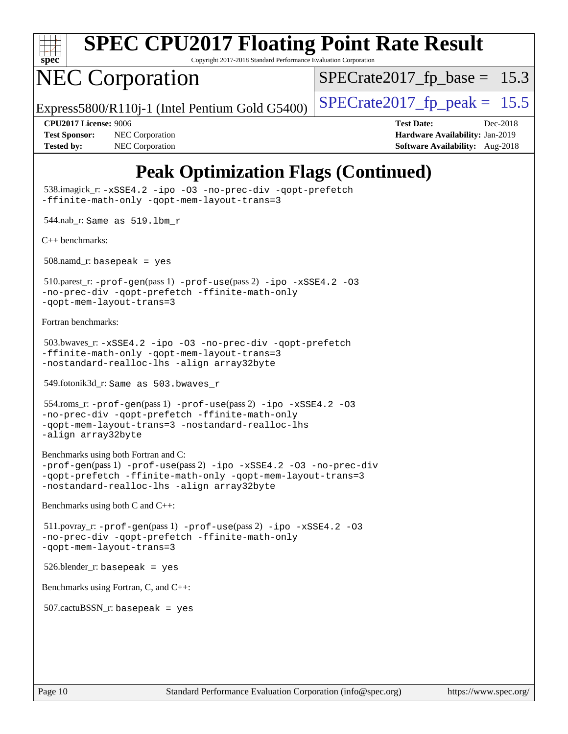

Copyright 2017-2018 Standard Performance Evaluation Corporation

## NEC Corporation

 $SPECTate2017_fp\_base = 15.3$ 

Express5800/R110j-1 (Intel Pentium Gold G5400)  $\vert$  [SPECrate2017\\_fp\\_peak =](http://www.spec.org/auto/cpu2017/Docs/result-fields.html#SPECrate2017fppeak) 15.5

**[Test Sponsor:](http://www.spec.org/auto/cpu2017/Docs/result-fields.html#TestSponsor)** NEC Corporation **[Hardware Availability:](http://www.spec.org/auto/cpu2017/Docs/result-fields.html#HardwareAvailability)** Jan-2019 **[Tested by:](http://www.spec.org/auto/cpu2017/Docs/result-fields.html#Testedby)** NEC Corporation **[Software Availability:](http://www.spec.org/auto/cpu2017/Docs/result-fields.html#SoftwareAvailability)** Aug-2018

**[CPU2017 License:](http://www.spec.org/auto/cpu2017/Docs/result-fields.html#CPU2017License)** 9006 **[Test Date:](http://www.spec.org/auto/cpu2017/Docs/result-fields.html#TestDate)** Dec-2018

## **[Peak Optimization Flags \(Continued\)](http://www.spec.org/auto/cpu2017/Docs/result-fields.html#PeakOptimizationFlags)**

 538.imagick\_r: [-xSSE4.2](http://www.spec.org/cpu2017/results/res2018q4/cpu2017-20181210-10081.flags.html#user_peakCOPTIMIZE538_imagick_r_f-xSSE42_d85b2ac37ddc90662d11f1a4a8dc959d40ee6b8c1b95cdec45efdeb6594938334ecec49699063ec518cad6ffb0ae5f89c6821e9beeb549020603d53f71a41bf5) [-ipo](http://www.spec.org/cpu2017/results/res2018q4/cpu2017-20181210-10081.flags.html#user_peakCOPTIMIZE538_imagick_r_f-ipo) [-O3](http://www.spec.org/cpu2017/results/res2018q4/cpu2017-20181210-10081.flags.html#user_peakCOPTIMIZE538_imagick_r_f-O3) [-no-prec-div](http://www.spec.org/cpu2017/results/res2018q4/cpu2017-20181210-10081.flags.html#user_peakCOPTIMIZE538_imagick_r_f-no-prec-div) [-qopt-prefetch](http://www.spec.org/cpu2017/results/res2018q4/cpu2017-20181210-10081.flags.html#user_peakCOPTIMIZE538_imagick_r_f-qopt-prefetch) [-ffinite-math-only](http://www.spec.org/cpu2017/results/res2018q4/cpu2017-20181210-10081.flags.html#user_peakCOPTIMIZE538_imagick_r_f_finite_math_only_cb91587bd2077682c4b38af759c288ed7c732db004271a9512da14a4f8007909a5f1427ecbf1a0fb78ff2a814402c6114ac565ca162485bbcae155b5e4258871) [-qopt-mem-layout-trans=3](http://www.spec.org/cpu2017/results/res2018q4/cpu2017-20181210-10081.flags.html#user_peakCOPTIMIZE538_imagick_r_f-qopt-mem-layout-trans_de80db37974c74b1f0e20d883f0b675c88c3b01e9d123adea9b28688d64333345fb62bc4a798493513fdb68f60282f9a726aa07f478b2f7113531aecce732043) 544.nab\_r: Same as 519.lbm\_r [C++ benchmarks:](http://www.spec.org/auto/cpu2017/Docs/result-fields.html#CXXbenchmarks) 508.namd\_r: basepeak = yes 510.parest\_r: [-prof-gen](http://www.spec.org/cpu2017/results/res2018q4/cpu2017-20181210-10081.flags.html#user_peakPASS1_CXXFLAGSPASS1_LDFLAGS510_parest_r_prof_gen_5aa4926d6013ddb2a31985c654b3eb18169fc0c6952a63635c234f711e6e63dd76e94ad52365559451ec499a2cdb89e4dc58ba4c67ef54ca681ffbe1461d6b36)(pass 1) [-prof-use](http://www.spec.org/cpu2017/results/res2018q4/cpu2017-20181210-10081.flags.html#user_peakPASS2_CXXFLAGSPASS2_LDFLAGS510_parest_r_prof_use_1a21ceae95f36a2b53c25747139a6c16ca95bd9def2a207b4f0849963b97e94f5260e30a0c64f4bb623698870e679ca08317ef8150905d41bd88c6f78df73f19)(pass 2) [-ipo](http://www.spec.org/cpu2017/results/res2018q4/cpu2017-20181210-10081.flags.html#user_peakPASS1_CXXOPTIMIZEPASS2_CXXOPTIMIZE510_parest_r_f-ipo) [-xSSE4.2](http://www.spec.org/cpu2017/results/res2018q4/cpu2017-20181210-10081.flags.html#user_peakPASS2_CXXOPTIMIZE510_parest_r_f-xSSE42_d85b2ac37ddc90662d11f1a4a8dc959d40ee6b8c1b95cdec45efdeb6594938334ecec49699063ec518cad6ffb0ae5f89c6821e9beeb549020603d53f71a41bf5) [-O3](http://www.spec.org/cpu2017/results/res2018q4/cpu2017-20181210-10081.flags.html#user_peakPASS1_CXXOPTIMIZEPASS2_CXXOPTIMIZE510_parest_r_f-O3) [-no-prec-div](http://www.spec.org/cpu2017/results/res2018q4/cpu2017-20181210-10081.flags.html#user_peakPASS1_CXXOPTIMIZEPASS2_CXXOPTIMIZE510_parest_r_f-no-prec-div) [-qopt-prefetch](http://www.spec.org/cpu2017/results/res2018q4/cpu2017-20181210-10081.flags.html#user_peakPASS1_CXXOPTIMIZEPASS2_CXXOPTIMIZE510_parest_r_f-qopt-prefetch) [-ffinite-math-only](http://www.spec.org/cpu2017/results/res2018q4/cpu2017-20181210-10081.flags.html#user_peakPASS1_CXXOPTIMIZEPASS2_CXXOPTIMIZE510_parest_r_f_finite_math_only_cb91587bd2077682c4b38af759c288ed7c732db004271a9512da14a4f8007909a5f1427ecbf1a0fb78ff2a814402c6114ac565ca162485bbcae155b5e4258871) [-qopt-mem-layout-trans=3](http://www.spec.org/cpu2017/results/res2018q4/cpu2017-20181210-10081.flags.html#user_peakPASS1_CXXOPTIMIZEPASS2_CXXOPTIMIZE510_parest_r_f-qopt-mem-layout-trans_de80db37974c74b1f0e20d883f0b675c88c3b01e9d123adea9b28688d64333345fb62bc4a798493513fdb68f60282f9a726aa07f478b2f7113531aecce732043) [Fortran benchmarks](http://www.spec.org/auto/cpu2017/Docs/result-fields.html#Fortranbenchmarks): 503.bwaves\_r: [-xSSE4.2](http://www.spec.org/cpu2017/results/res2018q4/cpu2017-20181210-10081.flags.html#user_peakFOPTIMIZE503_bwaves_r_f-xSSE42_d85b2ac37ddc90662d11f1a4a8dc959d40ee6b8c1b95cdec45efdeb6594938334ecec49699063ec518cad6ffb0ae5f89c6821e9beeb549020603d53f71a41bf5) [-ipo](http://www.spec.org/cpu2017/results/res2018q4/cpu2017-20181210-10081.flags.html#user_peakFOPTIMIZE503_bwaves_r_f-ipo) [-O3](http://www.spec.org/cpu2017/results/res2018q4/cpu2017-20181210-10081.flags.html#user_peakFOPTIMIZE503_bwaves_r_f-O3) [-no-prec-div](http://www.spec.org/cpu2017/results/res2018q4/cpu2017-20181210-10081.flags.html#user_peakFOPTIMIZE503_bwaves_r_f-no-prec-div) [-qopt-prefetch](http://www.spec.org/cpu2017/results/res2018q4/cpu2017-20181210-10081.flags.html#user_peakFOPTIMIZE503_bwaves_r_f-qopt-prefetch) [-ffinite-math-only](http://www.spec.org/cpu2017/results/res2018q4/cpu2017-20181210-10081.flags.html#user_peakFOPTIMIZE503_bwaves_r_f_finite_math_only_cb91587bd2077682c4b38af759c288ed7c732db004271a9512da14a4f8007909a5f1427ecbf1a0fb78ff2a814402c6114ac565ca162485bbcae155b5e4258871) [-qopt-mem-layout-trans=3](http://www.spec.org/cpu2017/results/res2018q4/cpu2017-20181210-10081.flags.html#user_peakFOPTIMIZE503_bwaves_r_f-qopt-mem-layout-trans_de80db37974c74b1f0e20d883f0b675c88c3b01e9d123adea9b28688d64333345fb62bc4a798493513fdb68f60282f9a726aa07f478b2f7113531aecce732043) [-nostandard-realloc-lhs](http://www.spec.org/cpu2017/results/res2018q4/cpu2017-20181210-10081.flags.html#user_peakEXTRA_FOPTIMIZE503_bwaves_r_f_2003_std_realloc_82b4557e90729c0f113870c07e44d33d6f5a304b4f63d4c15d2d0f1fab99f5daaed73bdb9275d9ae411527f28b936061aa8b9c8f2d63842963b95c9dd6426b8a) [-align array32byte](http://www.spec.org/cpu2017/results/res2018q4/cpu2017-20181210-10081.flags.html#user_peakEXTRA_FOPTIMIZE503_bwaves_r_align_array32byte_b982fe038af199962ba9a80c053b8342c548c85b40b8e86eb3cc33dee0d7986a4af373ac2d51c3f7cf710a18d62fdce2948f201cd044323541f22fc0fffc51b6) 549.fotonik3d\_r: Same as 503.bwaves\_r 554.roms\_r: [-prof-gen](http://www.spec.org/cpu2017/results/res2018q4/cpu2017-20181210-10081.flags.html#user_peakPASS1_FFLAGSPASS1_LDFLAGS554_roms_r_prof_gen_5aa4926d6013ddb2a31985c654b3eb18169fc0c6952a63635c234f711e6e63dd76e94ad52365559451ec499a2cdb89e4dc58ba4c67ef54ca681ffbe1461d6b36)(pass 1) [-prof-use](http://www.spec.org/cpu2017/results/res2018q4/cpu2017-20181210-10081.flags.html#user_peakPASS2_FFLAGSPASS2_LDFLAGS554_roms_r_prof_use_1a21ceae95f36a2b53c25747139a6c16ca95bd9def2a207b4f0849963b97e94f5260e30a0c64f4bb623698870e679ca08317ef8150905d41bd88c6f78df73f19)(pass 2) [-ipo](http://www.spec.org/cpu2017/results/res2018q4/cpu2017-20181210-10081.flags.html#user_peakPASS1_FOPTIMIZEPASS2_FOPTIMIZE554_roms_r_f-ipo) [-xSSE4.2](http://www.spec.org/cpu2017/results/res2018q4/cpu2017-20181210-10081.flags.html#user_peakPASS2_FOPTIMIZE554_roms_r_f-xSSE42_d85b2ac37ddc90662d11f1a4a8dc959d40ee6b8c1b95cdec45efdeb6594938334ecec49699063ec518cad6ffb0ae5f89c6821e9beeb549020603d53f71a41bf5) [-O3](http://www.spec.org/cpu2017/results/res2018q4/cpu2017-20181210-10081.flags.html#user_peakPASS1_FOPTIMIZEPASS2_FOPTIMIZE554_roms_r_f-O3) [-no-prec-div](http://www.spec.org/cpu2017/results/res2018q4/cpu2017-20181210-10081.flags.html#user_peakPASS1_FOPTIMIZEPASS2_FOPTIMIZE554_roms_r_f-no-prec-div) [-qopt-prefetch](http://www.spec.org/cpu2017/results/res2018q4/cpu2017-20181210-10081.flags.html#user_peakPASS1_FOPTIMIZEPASS2_FOPTIMIZE554_roms_r_f-qopt-prefetch) [-ffinite-math-only](http://www.spec.org/cpu2017/results/res2018q4/cpu2017-20181210-10081.flags.html#user_peakPASS1_FOPTIMIZEPASS2_FOPTIMIZE554_roms_r_f_finite_math_only_cb91587bd2077682c4b38af759c288ed7c732db004271a9512da14a4f8007909a5f1427ecbf1a0fb78ff2a814402c6114ac565ca162485bbcae155b5e4258871) [-qopt-mem-layout-trans=3](http://www.spec.org/cpu2017/results/res2018q4/cpu2017-20181210-10081.flags.html#user_peakPASS1_FOPTIMIZEPASS2_FOPTIMIZE554_roms_r_f-qopt-mem-layout-trans_de80db37974c74b1f0e20d883f0b675c88c3b01e9d123adea9b28688d64333345fb62bc4a798493513fdb68f60282f9a726aa07f478b2f7113531aecce732043) [-nostandard-realloc-lhs](http://www.spec.org/cpu2017/results/res2018q4/cpu2017-20181210-10081.flags.html#user_peakEXTRA_FOPTIMIZE554_roms_r_f_2003_std_realloc_82b4557e90729c0f113870c07e44d33d6f5a304b4f63d4c15d2d0f1fab99f5daaed73bdb9275d9ae411527f28b936061aa8b9c8f2d63842963b95c9dd6426b8a) [-align array32byte](http://www.spec.org/cpu2017/results/res2018q4/cpu2017-20181210-10081.flags.html#user_peakEXTRA_FOPTIMIZE554_roms_r_align_array32byte_b982fe038af199962ba9a80c053b8342c548c85b40b8e86eb3cc33dee0d7986a4af373ac2d51c3f7cf710a18d62fdce2948f201cd044323541f22fc0fffc51b6) [Benchmarks using both Fortran and C](http://www.spec.org/auto/cpu2017/Docs/result-fields.html#BenchmarksusingbothFortranandC): [-prof-gen](http://www.spec.org/cpu2017/results/res2018q4/cpu2017-20181210-10081.flags.html#user_CC_FCpeak_prof_gen_5aa4926d6013ddb2a31985c654b3eb18169fc0c6952a63635c234f711e6e63dd76e94ad52365559451ec499a2cdb89e4dc58ba4c67ef54ca681ffbe1461d6b36)(pass 1) [-prof-use](http://www.spec.org/cpu2017/results/res2018q4/cpu2017-20181210-10081.flags.html#user_CC_FCpeak_prof_use_1a21ceae95f36a2b53c25747139a6c16ca95bd9def2a207b4f0849963b97e94f5260e30a0c64f4bb623698870e679ca08317ef8150905d41bd88c6f78df73f19)(pass 2) [-ipo](http://www.spec.org/cpu2017/results/res2018q4/cpu2017-20181210-10081.flags.html#user_CC_FCpeak_f-ipo) [-xSSE4.2](http://www.spec.org/cpu2017/results/res2018q4/cpu2017-20181210-10081.flags.html#user_CC_FCpeak_f-xSSE42_d85b2ac37ddc90662d11f1a4a8dc959d40ee6b8c1b95cdec45efdeb6594938334ecec49699063ec518cad6ffb0ae5f89c6821e9beeb549020603d53f71a41bf5) [-O3](http://www.spec.org/cpu2017/results/res2018q4/cpu2017-20181210-10081.flags.html#user_CC_FCpeak_f-O3) [-no-prec-div](http://www.spec.org/cpu2017/results/res2018q4/cpu2017-20181210-10081.flags.html#user_CC_FCpeak_f-no-prec-div) [-qopt-prefetch](http://www.spec.org/cpu2017/results/res2018q4/cpu2017-20181210-10081.flags.html#user_CC_FCpeak_f-qopt-prefetch) [-ffinite-math-only](http://www.spec.org/cpu2017/results/res2018q4/cpu2017-20181210-10081.flags.html#user_CC_FCpeak_f_finite_math_only_cb91587bd2077682c4b38af759c288ed7c732db004271a9512da14a4f8007909a5f1427ecbf1a0fb78ff2a814402c6114ac565ca162485bbcae155b5e4258871) [-qopt-mem-layout-trans=3](http://www.spec.org/cpu2017/results/res2018q4/cpu2017-20181210-10081.flags.html#user_CC_FCpeak_f-qopt-mem-layout-trans_de80db37974c74b1f0e20d883f0b675c88c3b01e9d123adea9b28688d64333345fb62bc4a798493513fdb68f60282f9a726aa07f478b2f7113531aecce732043) [-nostandard-realloc-lhs](http://www.spec.org/cpu2017/results/res2018q4/cpu2017-20181210-10081.flags.html#user_CC_FCpeak_f_2003_std_realloc_82b4557e90729c0f113870c07e44d33d6f5a304b4f63d4c15d2d0f1fab99f5daaed73bdb9275d9ae411527f28b936061aa8b9c8f2d63842963b95c9dd6426b8a) [-align array32byte](http://www.spec.org/cpu2017/results/res2018q4/cpu2017-20181210-10081.flags.html#user_CC_FCpeak_align_array32byte_b982fe038af199962ba9a80c053b8342c548c85b40b8e86eb3cc33dee0d7986a4af373ac2d51c3f7cf710a18d62fdce2948f201cd044323541f22fc0fffc51b6) [Benchmarks using both C and C++](http://www.spec.org/auto/cpu2017/Docs/result-fields.html#BenchmarksusingbothCandCXX): 511.povray\_r: [-prof-gen](http://www.spec.org/cpu2017/results/res2018q4/cpu2017-20181210-10081.flags.html#user_peakPASS1_CFLAGSPASS1_CXXFLAGSPASS1_LDFLAGS511_povray_r_prof_gen_5aa4926d6013ddb2a31985c654b3eb18169fc0c6952a63635c234f711e6e63dd76e94ad52365559451ec499a2cdb89e4dc58ba4c67ef54ca681ffbe1461d6b36)(pass 1) [-prof-use](http://www.spec.org/cpu2017/results/res2018q4/cpu2017-20181210-10081.flags.html#user_peakPASS2_CFLAGSPASS2_CXXFLAGSPASS2_LDFLAGS511_povray_r_prof_use_1a21ceae95f36a2b53c25747139a6c16ca95bd9def2a207b4f0849963b97e94f5260e30a0c64f4bb623698870e679ca08317ef8150905d41bd88c6f78df73f19)(pass 2) [-ipo](http://www.spec.org/cpu2017/results/res2018q4/cpu2017-20181210-10081.flags.html#user_peakPASS1_COPTIMIZEPASS1_CXXOPTIMIZEPASS2_COPTIMIZEPASS2_CXXOPTIMIZE511_povray_r_f-ipo) [-xSSE4.2](http://www.spec.org/cpu2017/results/res2018q4/cpu2017-20181210-10081.flags.html#user_peakPASS2_COPTIMIZEPASS2_CXXOPTIMIZE511_povray_r_f-xSSE42_d85b2ac37ddc90662d11f1a4a8dc959d40ee6b8c1b95cdec45efdeb6594938334ecec49699063ec518cad6ffb0ae5f89c6821e9beeb549020603d53f71a41bf5) [-O3](http://www.spec.org/cpu2017/results/res2018q4/cpu2017-20181210-10081.flags.html#user_peakPASS1_COPTIMIZEPASS1_CXXOPTIMIZEPASS2_COPTIMIZEPASS2_CXXOPTIMIZE511_povray_r_f-O3) [-no-prec-div](http://www.spec.org/cpu2017/results/res2018q4/cpu2017-20181210-10081.flags.html#user_peakPASS1_COPTIMIZEPASS1_CXXOPTIMIZEPASS2_COPTIMIZEPASS2_CXXOPTIMIZE511_povray_r_f-no-prec-div) [-qopt-prefetch](http://www.spec.org/cpu2017/results/res2018q4/cpu2017-20181210-10081.flags.html#user_peakPASS1_COPTIMIZEPASS1_CXXOPTIMIZEPASS2_COPTIMIZEPASS2_CXXOPTIMIZE511_povray_r_f-qopt-prefetch) [-ffinite-math-only](http://www.spec.org/cpu2017/results/res2018q4/cpu2017-20181210-10081.flags.html#user_peakPASS1_COPTIMIZEPASS1_CXXOPTIMIZEPASS2_COPTIMIZEPASS2_CXXOPTIMIZE511_povray_r_f_finite_math_only_cb91587bd2077682c4b38af759c288ed7c732db004271a9512da14a4f8007909a5f1427ecbf1a0fb78ff2a814402c6114ac565ca162485bbcae155b5e4258871) [-qopt-mem-layout-trans=3](http://www.spec.org/cpu2017/results/res2018q4/cpu2017-20181210-10081.flags.html#user_peakPASS1_COPTIMIZEPASS1_CXXOPTIMIZEPASS2_COPTIMIZEPASS2_CXXOPTIMIZE511_povray_r_f-qopt-mem-layout-trans_de80db37974c74b1f0e20d883f0b675c88c3b01e9d123adea9b28688d64333345fb62bc4a798493513fdb68f60282f9a726aa07f478b2f7113531aecce732043) 526.blender\_r: basepeak = yes [Benchmarks using Fortran, C, and C++:](http://www.spec.org/auto/cpu2017/Docs/result-fields.html#BenchmarksusingFortranCandCXX)  $507$ .cactu $BSSN$  r: basepeak = yes